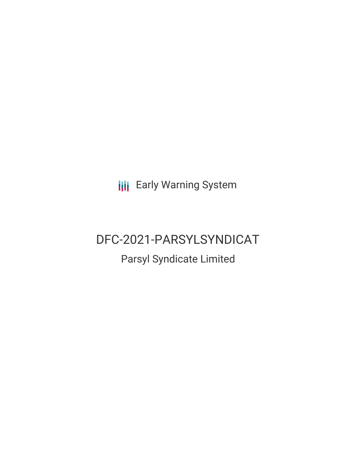**III** Early Warning System

# DFC-2021-PARSYLSYNDICAT

# Parsyl Syndicate Limited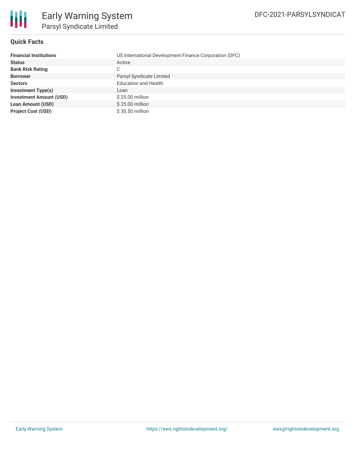

#### **Quick Facts**

| <b>Financial Institutions</b>  | US International Development Finance Corporation (DFC) |
|--------------------------------|--------------------------------------------------------|
| <b>Status</b>                  | Active                                                 |
| <b>Bank Risk Rating</b>        | C.                                                     |
| <b>Borrower</b>                | Parsyl Syndicate Limited                               |
| <b>Sectors</b>                 | <b>Education and Health</b>                            |
| <b>Investment Type(s)</b>      | Loan                                                   |
| <b>Investment Amount (USD)</b> | \$25.00 million                                        |
| <b>Loan Amount (USD)</b>       | \$25.00 million                                        |
| <b>Project Cost (USD)</b>      | \$30.50 million                                        |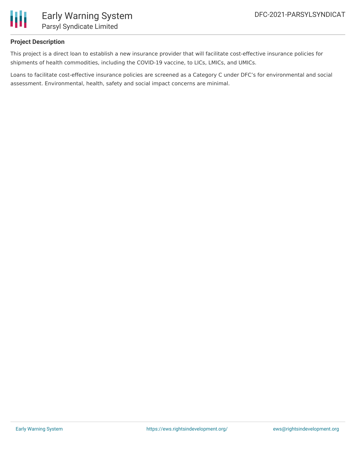

### **Project Description**

This project is a direct loan to establish a new insurance provider that will facilitate cost-effective insurance policies for shipments of health commodities, including the COVID-19 vaccine, to LICs, LMICs, and UMICs.

Loans to facilitate cost-effective insurance policies are screened as a Category C under DFC's for environmental and social assessment. Environmental, health, safety and social impact concerns are minimal.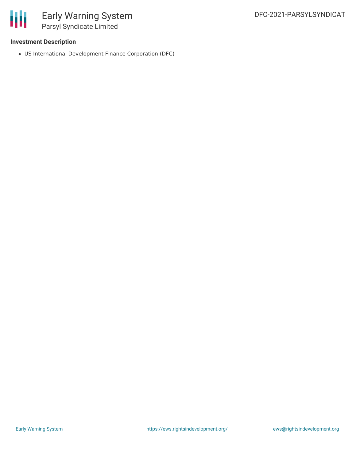

#### **Investment Description**

US International Development Finance Corporation (DFC)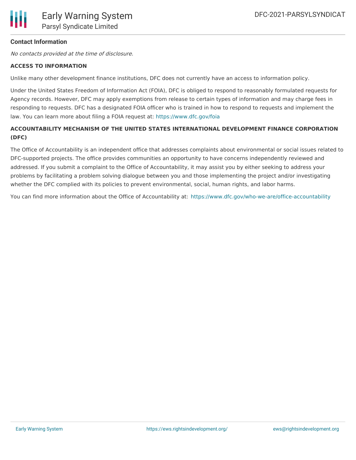#### **Contact Information**

No contacts provided at the time of disclosure.

#### **ACCESS TO INFORMATION**

Unlike many other development finance institutions, DFC does not currently have an access to information policy.

Under the United States Freedom of Information Act (FOIA), DFC is obliged to respond to reasonably formulated requests for Agency records. However, DFC may apply exemptions from release to certain types of information and may charge fees in responding to requests. DFC has a designated FOIA officer who is trained in how to respond to requests and implement the law. You can learn more about filing a FOIA request at: <https://www.dfc.gov/foia>

## **ACCOUNTABILITY MECHANISM OF THE UNITED STATES INTERNATIONAL DEVELOPMENT FINANCE CORPORATION (DFC)**

The Office of Accountability is an independent office that addresses complaints about environmental or social issues related to DFC-supported projects. The office provides communities an opportunity to have concerns independently reviewed and addressed. If you submit a complaint to the Office of Accountability, it may assist you by either seeking to address your problems by facilitating a problem solving dialogue between you and those implementing the project and/or investigating whether the DFC complied with its policies to prevent environmental, social, human rights, and labor harms.

You can find more information about the Office of Accountability at: <https://www.dfc.gov/who-we-are/office-accountability>